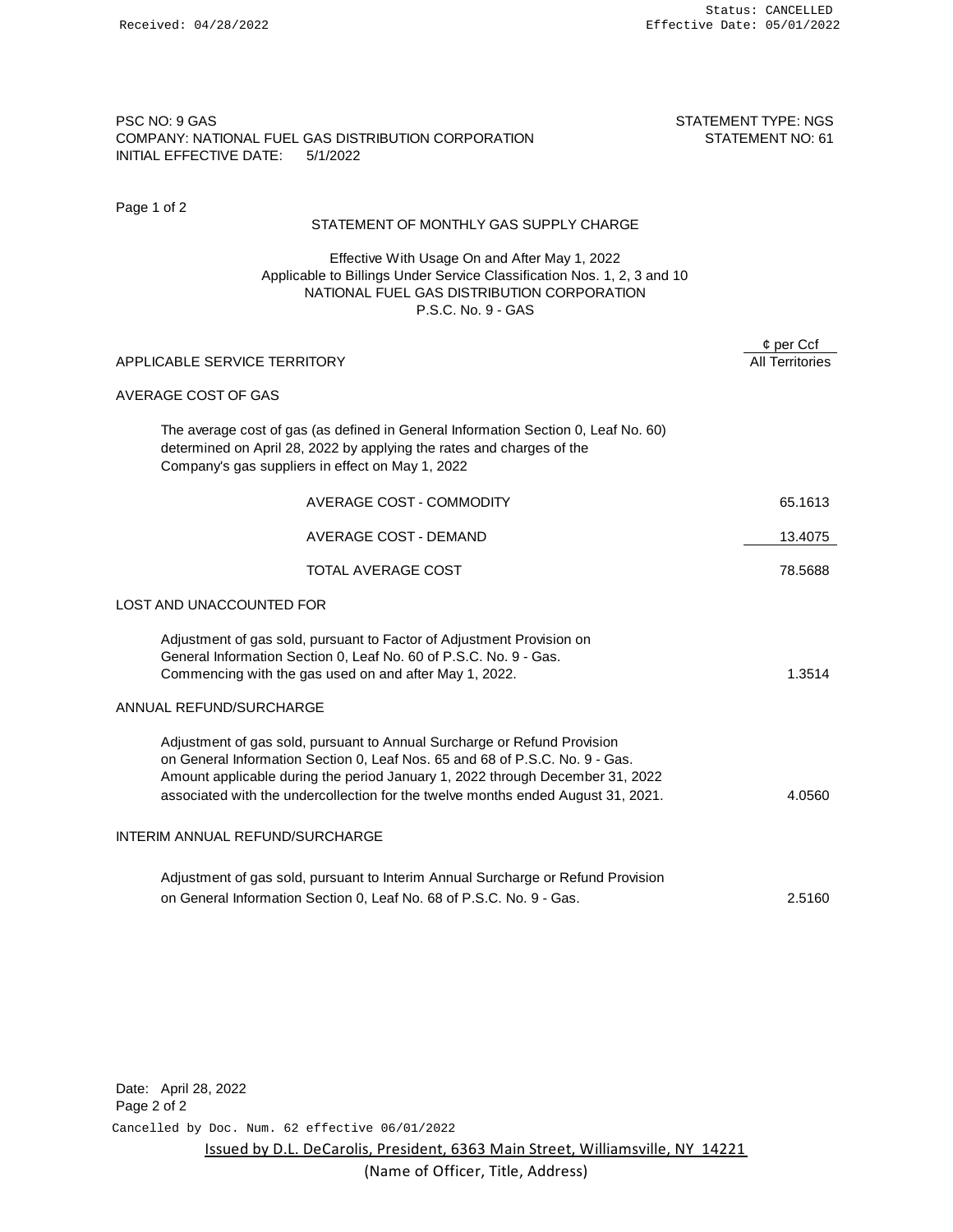# PSC NO: 9 GAS STATEMENT TYPE: NGS COMPANY: NATIONAL FUEL GAS DISTRIBUTION CORPORATION STATEMENT NO: 61 INITIAL EFFECTIVE DATE: 5/1/2022

Page 1 of 2

### STATEMENT OF MONTHLY GAS SUPPLY CHARGE

Effective With Usage On and After May 1, 2022 Applicable to Billings Under Service Classification Nos. 1, 2, 3 and 10 NATIONAL FUEL GAS DISTRIBUTION CORPORATION P.S.C. No. 9 - GAS

|                                                                                                                                                                                                                                                                                                                               | $\phi$ per Ccf         |
|-------------------------------------------------------------------------------------------------------------------------------------------------------------------------------------------------------------------------------------------------------------------------------------------------------------------------------|------------------------|
| APPLICABLE SERVICE TERRITORY                                                                                                                                                                                                                                                                                                  | <b>All Territories</b> |
| AVERAGE COST OF GAS                                                                                                                                                                                                                                                                                                           |                        |
| The average cost of gas (as defined in General Information Section 0, Leaf No. 60)<br>determined on April 28, 2022 by applying the rates and charges of the<br>Company's gas suppliers in effect on May 1, 2022                                                                                                               |                        |
| AVERAGE COST - COMMODITY                                                                                                                                                                                                                                                                                                      | 65.1613                |
| <b>AVERAGE COST - DEMAND</b>                                                                                                                                                                                                                                                                                                  | 13.4075                |
| TOTAL AVERAGE COST                                                                                                                                                                                                                                                                                                            | 78.5688                |
| LOST AND UNACCOUNTED FOR                                                                                                                                                                                                                                                                                                      |                        |
| Adjustment of gas sold, pursuant to Factor of Adjustment Provision on<br>General Information Section 0, Leaf No. 60 of P.S.C. No. 9 - Gas.<br>Commencing with the gas used on and after May 1, 2022.                                                                                                                          | 1.3514                 |
| ANNUAL REFUND/SURCHARGE                                                                                                                                                                                                                                                                                                       |                        |
| Adjustment of gas sold, pursuant to Annual Surcharge or Refund Provision<br>on General Information Section 0, Leaf Nos. 65 and 68 of P.S.C. No. 9 - Gas.<br>Amount applicable during the period January 1, 2022 through December 31, 2022<br>associated with the undercollection for the twelve months ended August 31, 2021. | 4.0560                 |
| INTERIM ANNUAL REFUND/SURCHARGE                                                                                                                                                                                                                                                                                               |                        |
| Adjustment of gas sold, pursuant to Interim Annual Surcharge or Refund Provision<br>on General Information Section 0, Leaf No. 68 of P.S.C. No. 9 - Gas.                                                                                                                                                                      | 2.5160                 |